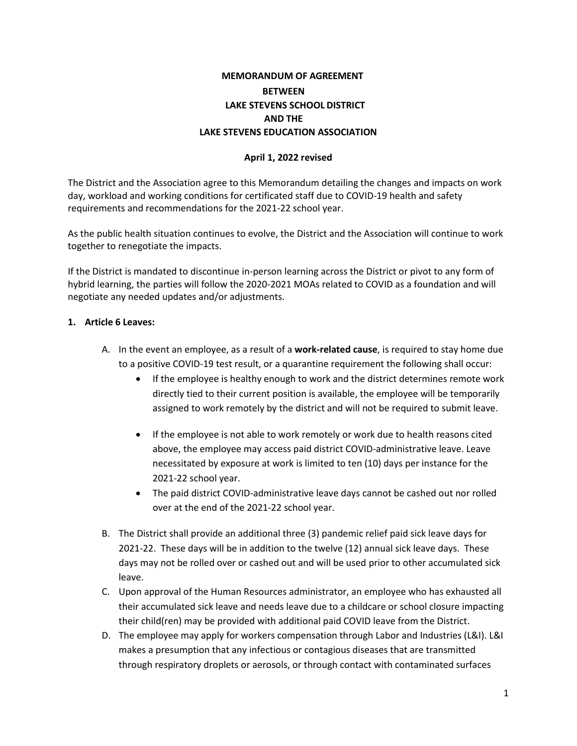## **MEMORANDUM OF AGREEMENT BETWEEN LAKE STEVENS SCHOOL DISTRICT AND THE LAKE STEVENS EDUCATION ASSOCIATION**

#### **April 1, 2022 revised**

The District and the Association agree to this Memorandum detailing the changes and impacts on work day, workload and working conditions for certificated staff due to COVID-19 health and safety requirements and recommendations for the 2021-22 school year.

As the public health situation continues to evolve, the District and the Association will continue to work together to renegotiate the impacts.

If the District is mandated to discontinue in-person learning across the District or pivot to any form of hybrid learning, the parties will follow the 2020-2021 MOAs related to COVID as a foundation and will negotiate any needed updates and/or adjustments.

#### **1. Article 6 Leaves:**

- A. In the event an employee, as a result of a **work-related cause**, is required to stay home due to a positive COVID-19 test result, or a quarantine requirement the following shall occur:
	- If the employee is healthy enough to work and the district determines remote work directly tied to their current position is available, the employee will be temporarily assigned to work remotely by the district and will not be required to submit leave.
	- If the employee is not able to work remotely or work due to health reasons cited above, the employee may access paid district COVID-administrative leave. Leave necessitated by exposure at work is limited to ten (10) days per instance for the 2021-22 school year.
	- The paid district COVID-administrative leave days cannot be cashed out nor rolled over at the end of the 2021-22 school year.
- B. The District shall provide an additional three (3) pandemic relief paid sick leave days for 2021-22. These days will be in addition to the twelve (12) annual sick leave days. These days may not be rolled over or cashed out and will be used prior to other accumulated sick leave.
- C. Upon approval of the Human Resources administrator, an employee who has exhausted all their accumulated sick leave and needs leave due to a childcare or school closure impacting their child(ren) may be provided with additional paid COVID leave from the District.
- D. The employee may apply for workers compensation through Labor and Industries (L&I). L&I makes a presumption that any infectious or contagious diseases that are transmitted through respiratory droplets or aerosols, or through contact with contaminated surfaces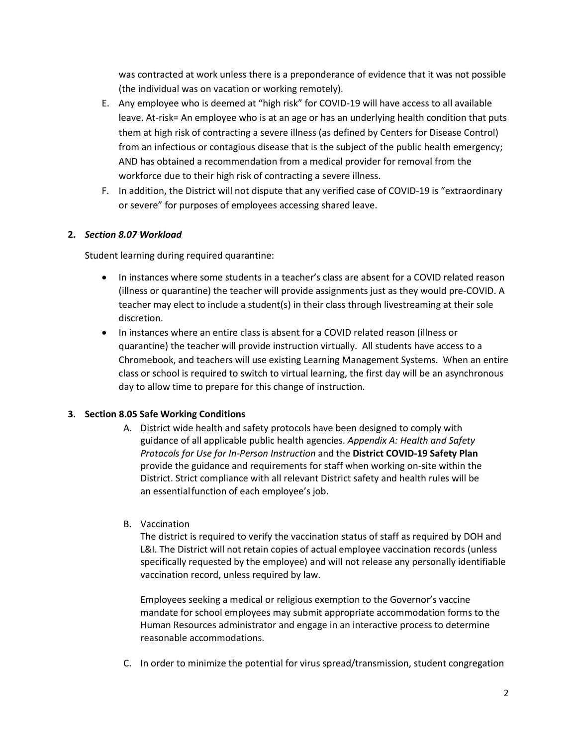was contracted at work unless there is a preponderance of evidence that it was not possible (the individual was on vacation or working remotely).

- E. Any employee who is deemed at "high risk" for COVID-19 will have access to all available leave. At-risk= An employee who is at an age or has an underlying health condition that puts them at high risk of contracting a severe illness (as defined by Centers for Disease Control) from an infectious or contagious disease that is the subject of the public health emergency; AND has obtained a recommendation from a medical provider for removal from the workforce due to their high risk of contracting a severe illness.
- F. In addition, the District will not dispute that any verified case of COVID-19 is "extraordinary or severe" for purposes of employees accessing shared leave.

## **2.** *Section 8.07 Workload*

Student learning during required quarantine:

- In instances where some students in a teacher's class are absent for a COVID related reason (illness or quarantine) the teacher will provide assignments just as they would pre-COVID. A teacher may elect to include a student(s) in their class through livestreaming at their sole discretion.
- In instances where an entire class is absent for a COVID related reason (illness or quarantine) the teacher will provide instruction virtually. All students have access to a Chromebook, and teachers will use existing Learning Management Systems. When an entire class or school is required to switch to virtual learning, the first day will be an asynchronous day to allow time to prepare for this change of instruction.

## **3. Section 8.05 Safe Working Conditions**

A. District wide health and safety protocols have been designed to comply with guidance of all applicable public health agencies. *Appendix A: Health and Safety Protocols for Use for In-Person Instruction* and the **District COVID-19 Safety Plan** provide the guidance and requirements for staff when working on-site within the District. Strict compliance with all relevant District safety and health rules will be an essentialfunction of each employee's job.

## B. Vaccination

The district is required to verify the vaccination status of staff as required by DOH and L&I. The District will not retain copies of actual employee vaccination records (unless specifically requested by the employee) and will not release any personally identifiable vaccination record, unless required by law.

Employees seeking a medical or religious exemption to the Governor's vaccine mandate for school employees may submit appropriate accommodation forms to the Human Resources administrator and engage in an interactive process to determine reasonable accommodations.

C. In order to minimize the potential for virus spread/transmission, student congregation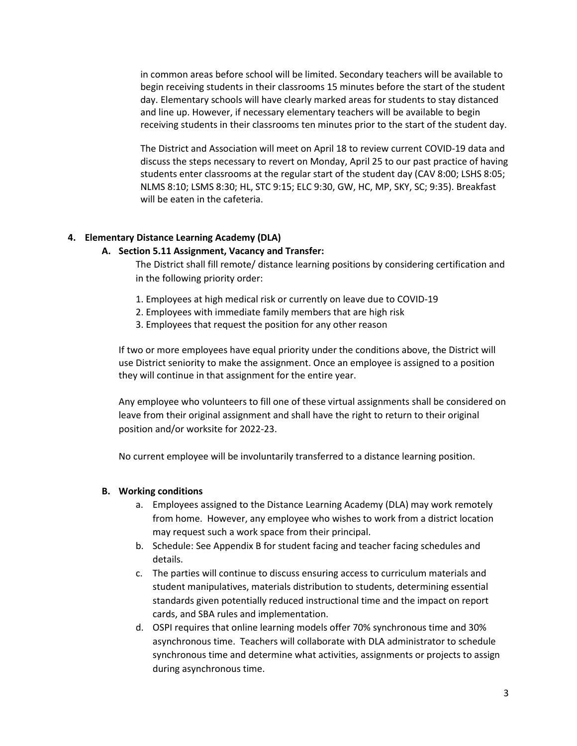in common areas before school will be limited. Secondary teachers will be available to begin receiving students in their classrooms 15 minutes before the start of the student day. Elementary schools will have clearly marked areas for students to stay distanced and line up. However, if necessary elementary teachers will be available to begin receiving students in their classrooms ten minutes prior to the start of the student day.

The District and Association will meet on April 18 to review current COVID-19 data and discuss the steps necessary to revert on Monday, April 25 to our past practice of having students enter classrooms at the regular start of the student day (CAV 8:00; LSHS 8:05; NLMS 8:10; LSMS 8:30; HL, STC 9:15; ELC 9:30, GW, HC, MP, SKY, SC; 9:35). Breakfast will be eaten in the cafeteria.

#### **4. Elementary Distance Learning Academy (DLA)**

#### **A. Section 5.11 Assignment, Vacancy and Transfer:**

The District shall fill remote/ distance learning positions by considering certification and in the following priority order:

- 1. Employees at high medical risk or currently on leave due to COVID-19
- 2. Employees with immediate family members that are high risk
- 3. Employees that request the position for any other reason

If two or more employees have equal priority under the conditions above, the District will use District seniority to make the assignment. Once an employee is assigned to a position they will continue in that assignment for the entire year.

Any employee who volunteers to fill one of these virtual assignments shall be considered on leave from their original assignment and shall have the right to return to their original position and/or worksite for 2022-23.

No current employee will be involuntarily transferred to a distance learning position.

#### **B. Working conditions**

- a. Employees assigned to the Distance Learning Academy (DLA) may work remotely from home. However, any employee who wishes to work from a district location may request such a work space from their principal.
- b. Schedule: See Appendix B for student facing and teacher facing schedules and details.
- c. The parties will continue to discuss ensuring access to curriculum materials and student manipulatives, materials distribution to students, determining essential standards given potentially reduced instructional time and the impact on report cards, and SBA rules and implementation.
- d. OSPI requires that online learning models offer 70% synchronous time and 30% asynchronous time. Teachers will collaborate with DLA administrator to schedule synchronous time and determine what activities, assignments or projects to assign during asynchronous time.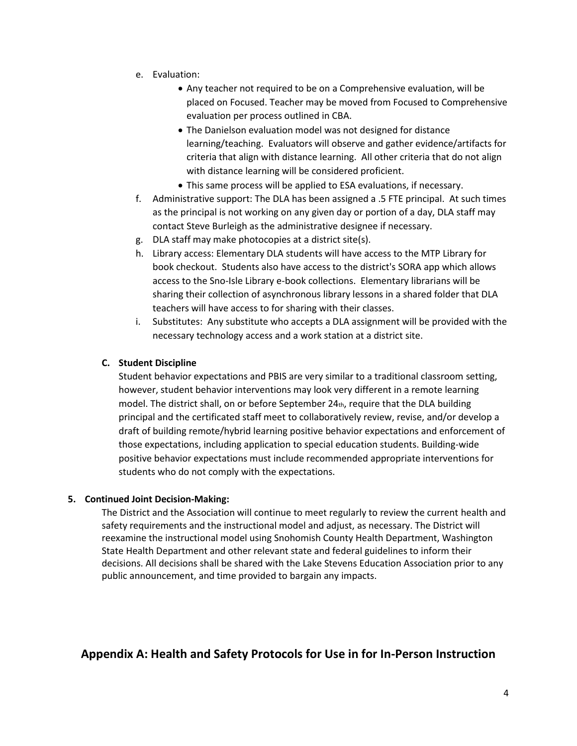- e. Evaluation:
	- Any teacher not required to be on a Comprehensive evaluation, will be placed on Focused. Teacher may be moved from Focused to Comprehensive evaluation per process outlined in CBA.
	- The Danielson evaluation model was not designed for distance learning/teaching. Evaluators will observe and gather evidence/artifacts for criteria that align with distance learning. All other criteria that do not align with distance learning will be considered proficient.
	- This same process will be applied to ESA evaluations, if necessary.
- f. Administrative support: The DLA has been assigned a .5 FTE principal. At such times as the principal is not working on any given day or portion of a day, DLA staff may contact Steve Burleigh as the administrative designee if necessary.
- g. DLA staff may make photocopies at a district site(s).
- h. Library access: Elementary DLA students will have access to the MTP Library for book checkout. Students also have access to the district's SORA app which allows access to the Sno-Isle Library e-book collections. Elementary librarians will be sharing their collection of asynchronous library lessons in a shared folder that DLA teachers will have access to for sharing with their classes.
- i. Substitutes: Any substitute who accepts a DLA assignment will be provided with the necessary technology access and a work station at a district site.

#### **C. Student Discipline**

Student behavior expectations and PBIS are very similar to a traditional classroom setting, however, student behavior interventions may look very different in a remote learning model. The district shall, on or before September 24th, require that the DLA building principal and the certificated staff meet to collaboratively review, revise, and/or develop a draft of building remote/hybrid learning positive behavior expectations and enforcement of those expectations, including application to special education students. Building-wide positive behavior expectations must include recommended appropriate interventions for students who do not comply with the expectations.

#### **5. Continued Joint Decision-Making:**

The District and the Association will continue to meet regularly to review the current health and safety requirements and the instructional model and adjust, as necessary. The District will reexamine the instructional model using Snohomish County Health Department, Washington State Health Department and other relevant state and federal guidelines to inform their decisions. All decisions shall be shared with the Lake Stevens Education Association prior to any public announcement, and time provided to bargain any impacts.

## **Appendix A: Health and Safety Protocols for Use in for In-Person Instruction**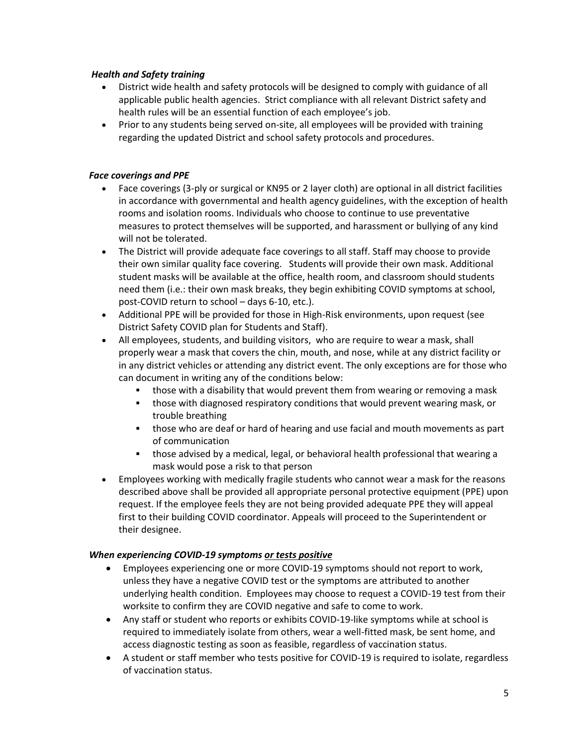#### *Health and Safety training*

- District wide health and safety protocols will be designed to comply with guidance of all applicable public health agencies. Strict compliance with all relevant District safety and health rules will be an essential function of each employee's job.
- Prior to any students being served on-site, all employees will be provided with training regarding the updated District and school safety protocols and procedures.

#### *Face coverings and PPE*

- Face coverings (3-ply or surgical or KN95 or 2 layer cloth) are optional in all district facilities in accordance with governmental and health agency guidelines, with the exception of health rooms and isolation rooms. Individuals who choose to continue to use preventative measures to protect themselves will be supported, and harassment or bullying of any kind will not be tolerated.
- The District will provide adequate face coverings to all staff. Staff may choose to provide their own similar quality face covering. Students will provide their own mask. Additional student masks will be available at the office, health room, and classroom should students need them (i.e.: their own mask breaks, they begin exhibiting COVID symptoms at school, post-COVID return to school – days 6-10, etc.).
- Additional PPE will be provided for those in High-Risk environments, upon request (see District Safety COVID plan for Students and Staff).
- All employees, students, and building visitors, who are require to wear a mask, shall properly wear a mask that covers the chin, mouth, and nose, while at any district facility or in any district vehicles or attending any district event. The only exceptions are for those who can document in writing any of the conditions below:
	- those with a disability that would prevent them from wearing or removing a mask
	- those with diagnosed respiratory conditions that would prevent wearing mask, or trouble breathing
	- those who are deaf or hard of hearing and use facial and mouth movements as part of communication
	- those advised by a medical, legal, or behavioral health professional that wearing a mask would pose a risk to that person
- Employees working with medically fragile students who cannot wear a mask for the reasons described above shall be provided all appropriate personal protective equipment (PPE) upon request. If the employee feels they are not being provided adequate PPE they will appeal first to their building COVID coordinator. Appeals will proceed to the Superintendent or their designee.

#### *When experiencing COVID-19 symptoms or tests positive*

- Employees experiencing one or more COVID-19 symptoms should not report to work, unless they have a negative COVID test or the symptoms are attributed to another underlying health condition. Employees may choose to request a COVID-19 test from their worksite to confirm they are COVID negative and safe to come to work.
- Any staff or student who reports or exhibits COVID-19-like symptoms while at school is required to immediately isolate from others, wear a well-fitted mask, be sent home, and access diagnostic testing as soon as feasible, regardless of vaccination status.
- A student or staff member who tests positive for COVID-19 is required to isolate, regardless of vaccination status.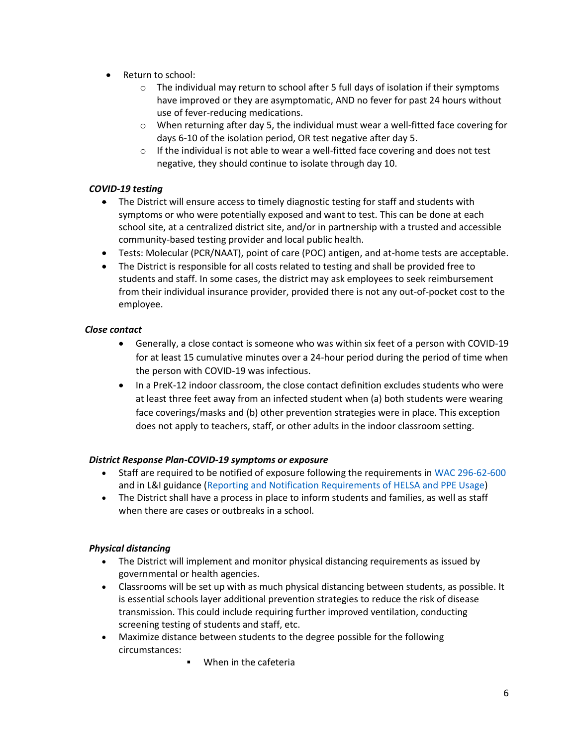- Return to school:
	- $\circ$  The individual may return to school after 5 full days of isolation if their symptoms have improved or they are asymptomatic, AND no fever for past 24 hours without use of fever-reducing medications.
	- $\circ$  When returning after day 5, the individual must wear a well-fitted face covering for days 6-10 of the isolation period, OR test negative after day 5.
	- $\circ$  If the individual is not able to wear a well-fitted face covering and does not test negative, they should continue to isolate through day 10.

## *COVID-19 testing*

- The District will ensure access to timely diagnostic testing for staff and students with symptoms or who were potentially exposed and want to test. This can be done at each school site, at a centralized district site, and/or in partnership with a trusted and accessible community-based testing provider and local public health.
- Tests: Molecular (PCR/NAAT), point of care (POC) antigen, and at-home tests are acceptable.
- The District is responsible for all costs related to testing and shall be provided free to students and staff. In some cases, the district may ask employees to seek reimbursement from their individual insurance provider, provided there is not any out-of-pocket cost to the employee.

#### *Close contact*

- Generally, a close contact is someone who was within six feet of a person with COVID-19 for at least 15 cumulative minutes over a 24-hour period during the period of time when the person with COVID-19 was infectious.
- In a PreK-12 indoor classroom, the close contact definition excludes students who were at least three feet away from an infected student when (a) both students were wearing face coverings/masks and (b) other prevention strategies were in place. This exception does not apply to teachers, staff, or other adults in the indoor classroom setting.

#### *District Response Plan-COVID-19 symptoms or exposure*

- Staff are required to be notified of exposure following the requirements in [WAC 296-62-600](https://www.lni.wa.gov/safety-health/safety-rules/chapter-pdfs/WAC296-62.pdf) and in L&I guidance [\(Reporting and Notification Requirements of HELSA and PPE Usage\)](https://lni.wa.gov/forms-publications/F417-295-000.pdf)
- The District shall have a process in place to inform students and families, as well as staff when there are cases or outbreaks in a school.

## *Physical distancing*

- The District will implement and monitor physical distancing requirements as issued by governmental or health agencies.
- Classrooms will be set up with as much physical distancing between students, as possible. It is essential schools layer additional prevention strategies to reduce the risk of disease transmission. This could include requiring further improved ventilation, conducting screening testing of students and staff, etc.
- Maximize distance between students to the degree possible for the following circumstances:
	- **■** When in the cafeteria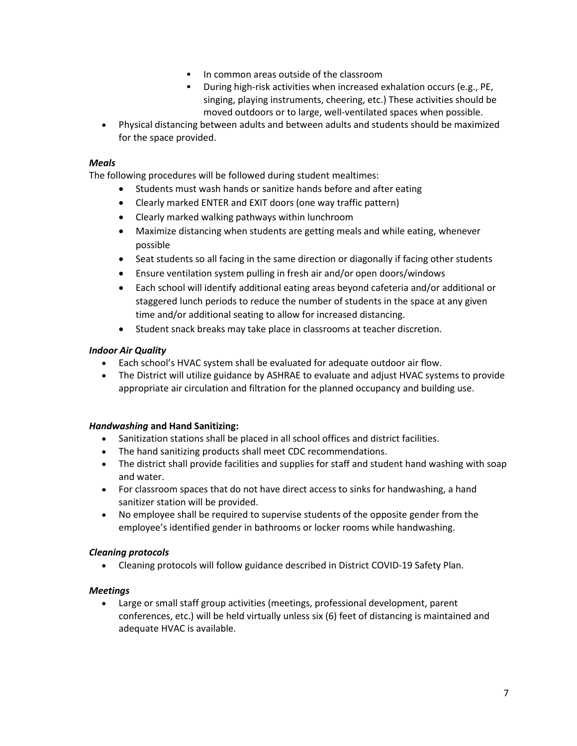- In common areas outside of the classroom
- During high-risk activities when increased exhalation occurs (e.g., PE, singing, playing instruments, cheering, etc.) These activities should be moved outdoors or to large, well-ventilated spaces when possible.
- Physical distancing between adults and between adults and students should be maximized for the space provided.

#### *Meals*

The following procedures will be followed during student mealtimes:

- Students must wash hands or sanitize hands before and after eating
- Clearly marked ENTER and EXIT doors (one way traffic pattern)
- Clearly marked walking pathways within lunchroom
- Maximize distancing when students are getting meals and while eating, whenever possible
- Seat students so all facing in the same direction or diagonally if facing other students
- Ensure ventilation system pulling in fresh air and/or open doors/windows
- Each school will identify additional eating areas beyond cafeteria and/or additional or staggered lunch periods to reduce the number of students in the space at any given time and/or additional seating to allow for increased distancing.
- Student snack breaks may take place in classrooms at teacher discretion.

#### *Indoor Air Quality*

- Each school's HVAC system shall be evaluated for adequate outdoor air flow.
- The District will utilize guidance by ASHRAE to evaluate and adjust HVAC systems to provide appropriate air circulation and filtration for the planned occupancy and building use.

#### *Handwashing* **and Hand Sanitizing:**

- Sanitization stations shall be placed in all school offices and district facilities.
- The hand sanitizing products shall meet CDC recommendations.
- The district shall provide facilities and supplies for staff and student hand washing with soap and water.
- For classroom spaces that do not have direct access to sinks for handwashing, a hand sanitizer station will be provided.
- No employee shall be required to supervise students of the opposite gender from the employee's identified gender in bathrooms or locker rooms while handwashing.

#### *Cleaning protocols*

• Cleaning protocols will follow guidance described in District COVID-19 Safety Plan.

#### *Meetings*

• Large or small staff group activities (meetings, professional development, parent conferences, etc.) will be held virtually unless six (6) feet of distancing is maintained and adequate HVAC is available.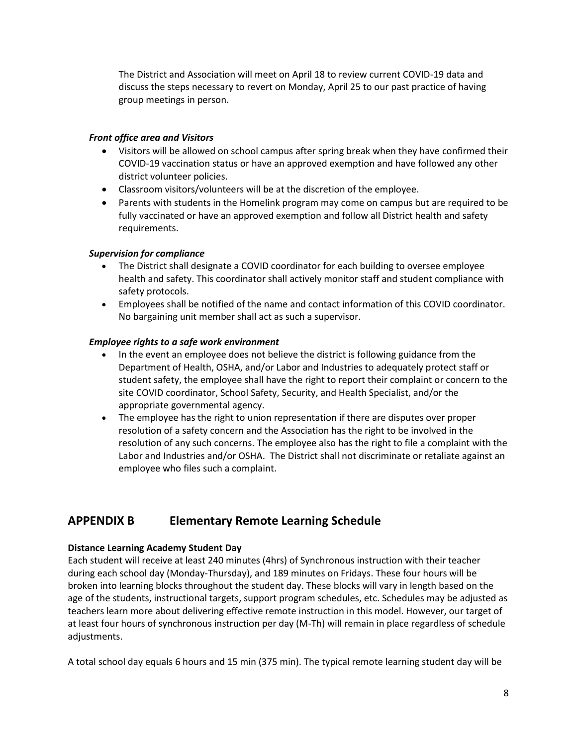The District and Association will meet on April 18 to review current COVID-19 data and discuss the steps necessary to revert on Monday, April 25 to our past practice of having group meetings in person.

#### *Front office area and Visitors*

- Visitors will be allowed on school campus after spring break when they have confirmed their COVID-19 vaccination status or have an approved exemption and have followed any other district volunteer policies.
- Classroom visitors/volunteers will be at the discretion of the employee.
- Parents with students in the Homelink program may come on campus but are required to be fully vaccinated or have an approved exemption and follow all District health and safety requirements.

#### *Supervision for compliance*

- The District shall designate a COVID coordinator for each building to oversee employee health and safety. This coordinator shall actively monitor staff and student compliance with safety protocols.
- Employees shall be notified of the name and contact information of this COVID coordinator. No bargaining unit member shall act as such a supervisor.

#### *Employee rights to a safe work environment*

- In the event an employee does not believe the district is following guidance from the Department of Health, OSHA, and/or Labor and Industries to adequately protect staff or student safety, the employee shall have the right to report their complaint or concern to the site COVID coordinator, School Safety, Security, and Health Specialist, and/or the appropriate governmental agency.
- The employee has the right to union representation if there are disputes over proper resolution of a safety concern and the Association has the right to be involved in the resolution of any such concerns. The employee also has the right to file a complaint with the Labor and Industries and/or OSHA. The District shall not discriminate or retaliate against an employee who files such a complaint.

# **APPENDIX B Elementary Remote Learning Schedule**

#### **Distance Learning Academy Student Day**

Each student will receive at least 240 minutes (4hrs) of Synchronous instruction with their teacher during each school day (Monday-Thursday), and 189 minutes on Fridays. These four hours will be broken into learning blocks throughout the student day. These blocks will vary in length based on the age of the students, instructional targets, support program schedules, etc. Schedules may be adjusted as teachers learn more about delivering effective remote instruction in this model. However, our target of at least four hours of synchronous instruction per day (M-Th) will remain in place regardless of schedule adjustments.

A total school day equals 6 hours and 15 min (375 min). The typical remote learning student day will be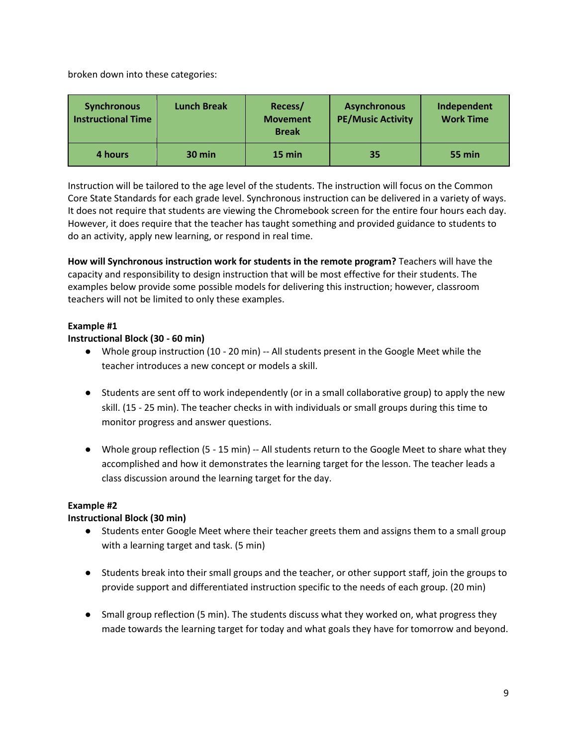broken down into these categories:

| <b>Synchronous</b><br><b>Instructional Time</b> | <b>Lunch Break</b> | Recess/<br><b>Movement</b><br><b>Break</b> | <b>Asynchronous</b><br><b>PE/Music Activity</b> | Independent<br><b>Work Time</b> |
|-------------------------------------------------|--------------------|--------------------------------------------|-------------------------------------------------|---------------------------------|
| 4 hours                                         | $30 \text{ min}$   | 15 min                                     | 35                                              | 55 min                          |

Instruction will be tailored to the age level of the students. The instruction will focus on the Common Core State Standards for each grade level. Synchronous instruction can be delivered in a variety of ways. It does not require that students are viewing the Chromebook screen for the entire four hours each day. However, it does require that the teacher has taught something and provided guidance to students to do an activity, apply new learning, or respond in real time.

**How will Synchronous instruction work for students in the remote program?** Teachers will have the capacity and responsibility to design instruction that will be most effective for their students. The examples below provide some possible models for delivering this instruction; however, classroom teachers will not be limited to only these examples.

#### **Example #1**

#### **Instructional Block (30 - 60 min)**

- Whole group instruction (10 20 min) -- All students present in the Google Meet while the teacher introduces a new concept or models a skill.
- Students are sent off to work independently (or in a small collaborative group) to apply the new skill. (15 - 25 min). The teacher checks in with individuals or small groups during this time to monitor progress and answer questions.
- Whole group reflection (5 15 min) -- All students return to the Google Meet to share what they accomplished and how it demonstrates the learning target for the lesson. The teacher leads a class discussion around the learning target for the day.

#### **Example #2**

## **Instructional Block (30 min)**

- Students enter Google Meet where their teacher greets them and assigns them to a small group with a learning target and task. (5 min)
- Students break into their small groups and the teacher, or other support staff, join the groups to provide support and differentiated instruction specific to the needs of each group. (20 min)
- Small group reflection (5 min). The students discuss what they worked on, what progress they made towards the learning target for today and what goals they have for tomorrow and beyond.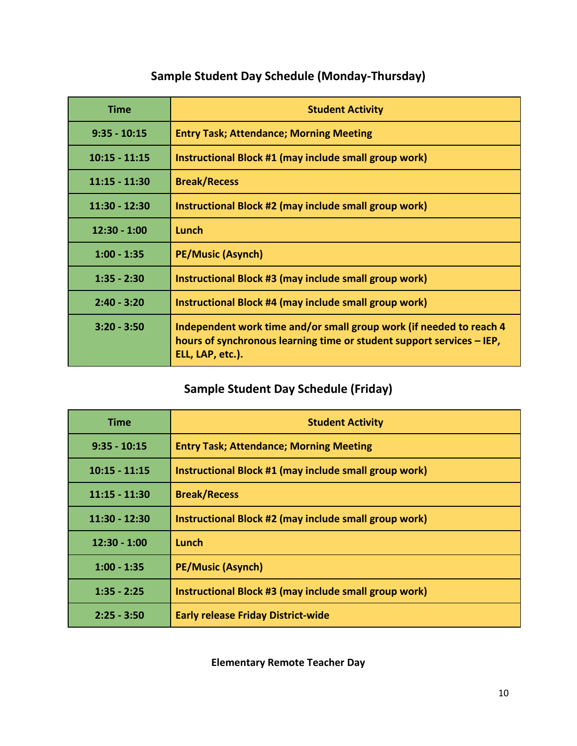# **Sample Student Day Schedule (Monday-Thursday)**

| <b>Time</b>     | <b>Student Activity</b>                                                                                                                                          |  |
|-----------------|------------------------------------------------------------------------------------------------------------------------------------------------------------------|--|
| $9:35 - 10:15$  | <b>Entry Task; Attendance; Morning Meeting</b>                                                                                                                   |  |
| $10:15 - 11:15$ | Instructional Block #1 (may include small group work)                                                                                                            |  |
| $11:15 - 11:30$ | <b>Break/Recess</b>                                                                                                                                              |  |
| $11:30 - 12:30$ | Instructional Block #2 (may include small group work)                                                                                                            |  |
| $12:30 - 1:00$  | Lunch                                                                                                                                                            |  |
| $1:00 - 1:35$   | <b>PE/Music (Asynch)</b>                                                                                                                                         |  |
| $1:35 - 2:30$   | Instructional Block #3 (may include small group work)                                                                                                            |  |
| $2:40 - 3:20$   | Instructional Block #4 (may include small group work)                                                                                                            |  |
| $3:20 - 3:50$   | Independent work time and/or small group work (if needed to reach 4<br>hours of synchronous learning time or student support services – IEP,<br>ELL, LAP, etc.). |  |

# **Sample Student Day Schedule (Friday)**

| <b>Time</b>     | <b>Student Activity</b>                                      |  |
|-----------------|--------------------------------------------------------------|--|
| $9:35 - 10:15$  | <b>Entry Task; Attendance; Morning Meeting</b>               |  |
| $10:15 - 11:15$ | <b>Instructional Block #1 (may include small group work)</b> |  |
| $11:15 - 11:30$ | <b>Break/Recess</b>                                          |  |
| $11:30 - 12:30$ | Instructional Block #2 (may include small group work)        |  |
| $12:30 - 1:00$  | Lunch                                                        |  |
| $1:00 - 1:35$   | <b>PE/Music (Asynch)</b>                                     |  |
| $1:35 - 2:25$   | Instructional Block #3 (may include small group work)        |  |
| $2:25 - 3:50$   | <b>Early release Friday District-wide</b>                    |  |

**Elementary Remote Teacher Day**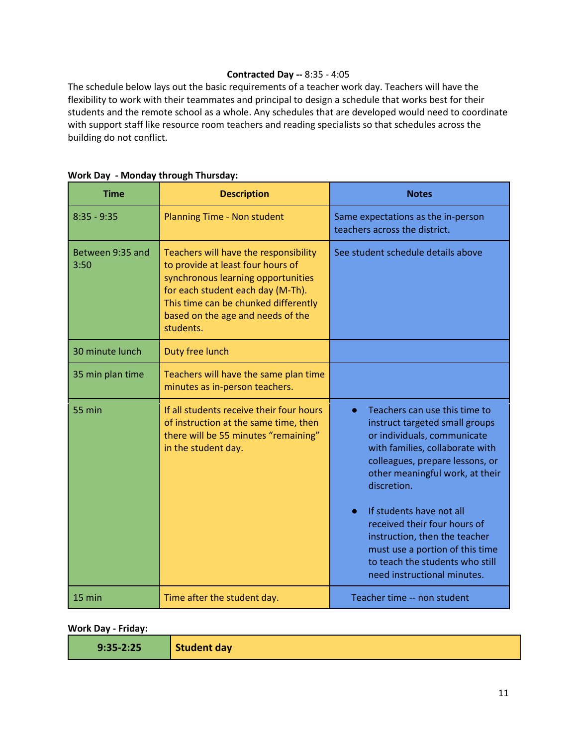#### **Contracted Day --** 8:35 - 4:05

The schedule below lays out the basic requirements of a teacher work day. Teachers will have the flexibility to work with their teammates and principal to design a schedule that works best for their students and the remote school as a whole. Any schedules that are developed would need to coordinate with support staff like resource room teachers and reading specialists so that schedules across the building do not conflict.

| <b>Time</b>              | <b>Description</b>                                                                                                                                                                                                                              | <b>Notes</b>                                                                                                                                                                                                                                                                                                                                                                                                                                       |  |
|--------------------------|-------------------------------------------------------------------------------------------------------------------------------------------------------------------------------------------------------------------------------------------------|----------------------------------------------------------------------------------------------------------------------------------------------------------------------------------------------------------------------------------------------------------------------------------------------------------------------------------------------------------------------------------------------------------------------------------------------------|--|
| $8:35 - 9:35$            | <b>Planning Time - Non student</b>                                                                                                                                                                                                              | Same expectations as the in-person<br>teachers across the district.                                                                                                                                                                                                                                                                                                                                                                                |  |
| Between 9:35 and<br>3:50 | Teachers will have the responsibility<br>to provide at least four hours of<br>synchronous learning opportunities<br>for each student each day (M-Th).<br>This time can be chunked differently<br>based on the age and needs of the<br>students. | See student schedule details above                                                                                                                                                                                                                                                                                                                                                                                                                 |  |
| 30 minute lunch          | Duty free lunch                                                                                                                                                                                                                                 |                                                                                                                                                                                                                                                                                                                                                                                                                                                    |  |
| 35 min plan time         | Teachers will have the same plan time<br>minutes as in-person teachers.                                                                                                                                                                         |                                                                                                                                                                                                                                                                                                                                                                                                                                                    |  |
| <b>55 min</b>            | If all students receive their four hours<br>of instruction at the same time, then<br>there will be 55 minutes "remaining"<br>in the student day.                                                                                                | Teachers can use this time to<br>$\bullet$<br>instruct targeted small groups<br>or individuals, communicate<br>with families, collaborate with<br>colleagues, prepare lessons, or<br>other meaningful work, at their<br>discretion.<br>If students have not all<br>$\bullet$<br>received their four hours of<br>instruction, then the teacher<br>must use a portion of this time<br>to teach the students who still<br>need instructional minutes. |  |
| 15 min                   | Time after the student day.                                                                                                                                                                                                                     | Teacher time -- non student                                                                                                                                                                                                                                                                                                                                                                                                                        |  |

#### **Work Day - Monday through Thursday:**

**Work Day - Friday:**

| $9:35 - 2:25$ | <b>Student day</b> |
|---------------|--------------------|
|---------------|--------------------|